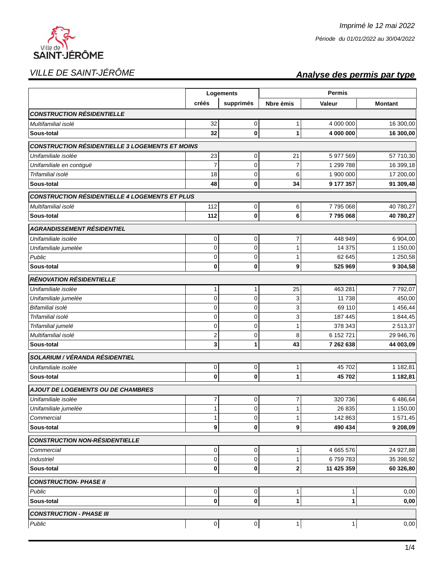

## VILLE DE SAINT-JÉRÔME **Analyse des permis par type**

|                                                        | Logements      |             |                | Permis     |                |  |
|--------------------------------------------------------|----------------|-------------|----------------|------------|----------------|--|
|                                                        | créés          | supprimés   | Nbre émis      | Valeur     | <b>Montant</b> |  |
| <b>CONSTRUCTION RÉSIDENTIELLE</b>                      |                |             |                |            |                |  |
| Multifamilial isolé                                    | 32             | $\mathbf 0$ | 1              | 4 000 000  | 16 300,00      |  |
| Sous-total                                             | 32             | 0           | 1              | 4 000 000  | 16 300,00      |  |
| <b>CONSTRUCTION RÉSIDENTIELLE 3 LOGEMENTS ET MOINS</b> |                |             |                |            |                |  |
| Unifamiliale isolée                                    | 23             | 0           | 21             | 5 977 569  | 57 710,30      |  |
| Unifamiliale en contiguë                               | $\overline{7}$ | 0           | $\overline{7}$ | 1 299 788  | 16 399,18      |  |
| Trifamilial isolé                                      | 18             | $\mathbf 0$ | 6              | 1 900 000  | 17 200,00      |  |
| Sous-total                                             | 48             | 0           | 34             | 9 177 357  | 91 309,48      |  |
| <b>CONSTRUCTION RÉSIDENTIELLE 4 LOGEMENTS ET PLUS</b>  |                |             |                |            |                |  |
| Multifamilial isolé                                    | 112            | 0           | 6              | 7795068    | 40 780,27      |  |
| Sous-total                                             | 112            | $\bf{0}$    | 6              | 7795068    | 40 780,27      |  |
| <b>AGRANDISSEMENT RÉSIDENTIEL</b>                      |                |             |                |            |                |  |
| Unifamiliale isolée                                    | 0              | $\mathbf 0$ | 7              | 448 949    | 6 904,00       |  |
| Unifamiliale jumelée                                   | 0              | $\mathbf 0$ | 1              | 14 375     | 1 150,00       |  |
| Public                                                 | 0              | 0           | 1              | 62 645     | 1 250,58       |  |
| Sous-total                                             | 0              | 0           | 9              | 525 969    | 9 304,58       |  |
| <b>RÉNOVATION RÉSIDENTIELLE</b>                        |                |             |                |            |                |  |
| Unifamiliale isolée                                    | 1              | 1           | 25             | 463 281    | 7792,07        |  |
| Unifamiliale jumelée                                   | 0              | $\mathbf 0$ | 3              | 11 738     | 450,00         |  |
| Bifamilial isolé                                       | 0              | $\mathbf 0$ | 3              | 69 110     | 1456,44        |  |
| Trifamilial isolé                                      | 0              | $\mathbf 0$ | 3              | 187 445    | 1844,45        |  |
| Trifamilial jumelé                                     | 0              | $\mathbf 0$ | 1              | 378 343    | 2513,37        |  |
| Multifamilial isolé                                    | 2              | 0           | 8              | 6 152 721  | 29 946,76      |  |
| Sous-total                                             | 3              | 1           | 43             | 7 262 638  | 44 003,09      |  |
| <b>SOLARIUM / VÉRANDA RÉSIDENTIEL</b>                  |                |             |                |            |                |  |
| Unifamiliale isolée                                    | 0              | $\mathbf 0$ | 1              | 45702      | 1 182,81       |  |
| Sous-total                                             | $\bf{0}$       | 0           | 1              | 45702      | 1 182,81       |  |
| <b>AJOUT DE LOGEMENTS OU DE CHAMBRES</b>               |                |             |                |            |                |  |
| Unifamiliale isolée                                    | 7              | 0           | 7              | 320 736    | 6486,64        |  |
| Unifamiliale jumelée                                   | $\mathbf{1}$   | 0           | 1              | 26 835     | 1 150,00       |  |
| Commercial                                             | 1              | 0           | 1              | 142 863    | 1571,45        |  |
| Sous-total                                             | 9              | 0           | 9              | 490 434    | 9 208,09       |  |
| <b>CONSTRUCTION NON-RÉSIDENTIELLE</b>                  |                |             |                |            |                |  |
| Commercial                                             | 0              | 0           |                | 4 665 576  | 24 927,88      |  |
| <b>Industriel</b>                                      | 0              | 0           | 1              | 6759783    | 35 398,92      |  |
| Sous-total                                             | 0              | 0           | 2              | 11 425 359 | 60 326,80      |  |
| <b>CONSTRUCTION- PHASE II</b>                          |                |             |                |            |                |  |
| Public                                                 | 0              | 0           | 1              | 1          | 0,00           |  |
| Sous-total                                             | 0              | 0           | 1              | 1          | 0,00           |  |
| <b>CONSTRUCTION - PHASE III</b>                        |                |             |                |            |                |  |
| Public                                                 | 0              | 0           | $1\vert$       | 1          | 0,00           |  |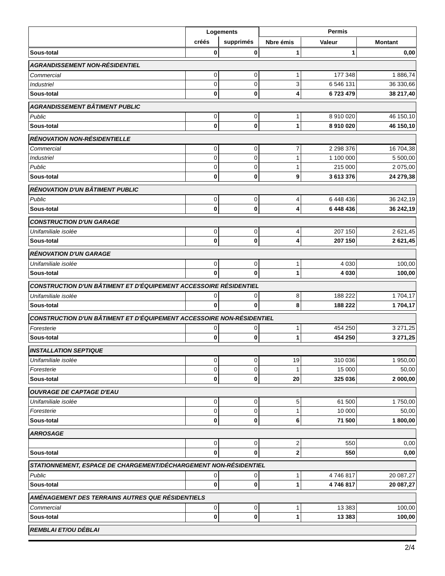|                                                                       | Logements |           |             | <b>Permis</b> |                     |  |
|-----------------------------------------------------------------------|-----------|-----------|-------------|---------------|---------------------|--|
|                                                                       | créés     | supprimés | Nbre émis   | Valeur        | <b>Montant</b>      |  |
| Sous-total                                                            | 0         | 0         | 1           | 1             | 0,00                |  |
| <b>AGRANDISSEMENT NON-RÉSIDENTIEL</b>                                 |           |           |             |               |                     |  |
| Commercial                                                            | 0         | 0         | 1           | 177 348       | 1886,74             |  |
| <b>Industriel</b>                                                     | 0         | 0         | 3           | 6 546 131     | 36 330,66           |  |
| Sous-total                                                            | O         | 0         | 4           | 6723479       | 38 217,40           |  |
| <b>AGRANDISSEMENT BÂTIMENT PUBLIC</b>                                 |           |           |             |               |                     |  |
| Public                                                                | $\pmb{0}$ | 0         | 1           | 8910020       | 46 150,10           |  |
| Sous-total                                                            | $\bf{0}$  | 0         | 1           | 8910020       | 46 150,10           |  |
| <b>RÉNOVATION NON-RÉSIDENTIELLE</b>                                   |           |           |             |               |                     |  |
| Commercial                                                            | 0         | 0         | 7           | 2 2 9 3 3 7 6 | 16 704,38           |  |
| <b>Industriel</b>                                                     | 0         | 0         | 1           | 1 100 000     | 5 500,00            |  |
| Public                                                                | 0         | 0         | 1           | 215 000       | 2 075,00            |  |
| Sous-total                                                            | $\bf{0}$  | 0         | 9           | 3613376       | 24 279,38           |  |
| RÉNOVATION D'UN BÂTIMENT PUBLIC                                       |           |           |             |               |                     |  |
| Public                                                                | 0         | 0         | 4           | 6 448 436     | 36 242,19           |  |
| Sous-total                                                            | $\bf{0}$  | 0         | 4           | 6 448 436     | 36 242,19           |  |
| <b>CONSTRUCTION D'UN GARAGE</b>                                       |           |           |             |               |                     |  |
|                                                                       |           |           |             | 207 150       |                     |  |
| Unifamiliale isolée<br>Sous-total                                     | 0<br>0    | 0<br>0    | 4<br>4      | 207 150       | 2621,45<br>2 621,45 |  |
| <b>RÉNOVATION D'UN GARAGE</b>                                         |           |           |             |               |                     |  |
|                                                                       |           |           |             |               |                     |  |
| Unifamiliale isolée                                                   | 0         | 0         | 1           | 4 0 3 0       | 100,00              |  |
| Sous-total                                                            | $\bf{0}$  | 0         | 1           | 4 0 3 0       | 100,00              |  |
| CONSTRUCTION D'UN BÂTIMENT ET D'ÉQUIPEMENT ACCESSOIRE RÉSIDENTIEL     |           |           |             |               |                     |  |
| Unifamiliale isolée                                                   | 0         | 0         | 8           | 188 222       | 1704,17             |  |
| Sous-total                                                            | 0         | 0         | 8           | 188 222       | 1704,17             |  |
| CONSTRUCTION D'UN BÂTIMENT ET D'ÉQUIPEMENT ACCESSOIRE NON-RÉSIDENTIEL |           |           |             |               |                     |  |
| Foresterie                                                            | 0         | 0         | 1           | 454 250       | 3 271,25            |  |
| Sous-total                                                            | 0         | 0         | 1           | 454 250       | 3 271,25            |  |
| <b>INSTALLATION SEPTIQUE</b>                                          |           |           |             |               |                     |  |
| Unifamiliale isolée                                                   | 0         | 0         | 19          | 310 036       | 1 950,00            |  |
| Foresterie                                                            | 0         | 0         |             | 15 000        | 50,00               |  |
| Sous-total                                                            | $\bf{0}$  | 0         | 20          | 325 036       | 2 000,00            |  |
| <b>OUVRAGE DE CAPTAGE D'EAU</b>                                       |           |           |             |               |                     |  |
| Unifamiliale isolée                                                   | 0         | 0         | 5           | 61 500        | 1750,00             |  |
| Foresterie                                                            | 0         | 0         | 1           | 10 000        | 50,00               |  |
| Sous-total                                                            | 0         | 0         | 6           | 71 500        | 1800,00             |  |
| <b>ARROSAGE</b>                                                       |           |           |             |               |                     |  |
|                                                                       | $\pmb{0}$ | 0         | 2           | 550           | 0,00                |  |
| Sous-total                                                            | 0         | 0         | $\mathbf 2$ | 550           | 0,00                |  |
| STATIONNEMENT, ESPACE DE CHARGEMENT/DÉCHARGEMENT NON-RÉSIDENTIEL      |           |           |             |               |                     |  |
| Public                                                                | 0         | 0         | 1           | 4746817       | 20 087,27           |  |
| Sous-total                                                            | 0         | 0         | 1           | 4746817       | 20 087,27           |  |
| AMÉNAGEMENT DES TERRAINS AUTRES QUE RÉSIDENTIELS                      |           |           |             |               |                     |  |
| Commercial                                                            |           |           |             | 13 3 8 3      | 100,00              |  |
| Sous-total                                                            | 0<br>0    | 0<br>0    | 1<br>1      | 13 3 8 3      | 100,00              |  |
|                                                                       |           |           |             |               |                     |  |
| REMBLAI ET/OU DÉBLAI                                                  |           |           |             |               |                     |  |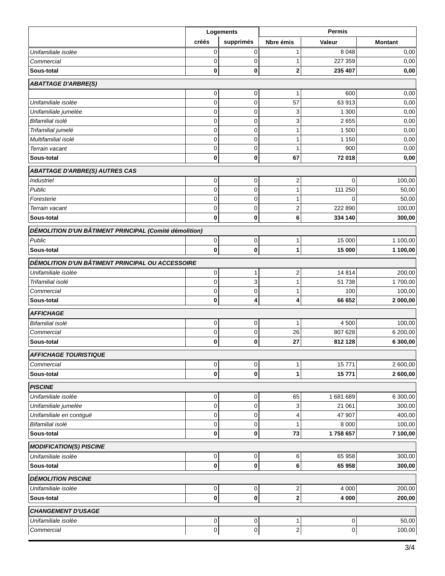|                                                        | Logements                |                          | <b>Permis</b>                |          |                 |  |  |
|--------------------------------------------------------|--------------------------|--------------------------|------------------------------|----------|-----------------|--|--|
|                                                        | créés                    | supprimés                | Nbre émis                    | Valeur   | <b>Montant</b>  |  |  |
| Unifamiliale isolée                                    | 0                        | 0                        | 1                            | 8 0 4 8  | 0,00            |  |  |
| Commercial                                             | $\mathbf 0$              | 0                        | 1                            | 227 359  | 0,00            |  |  |
| Sous-total                                             | 0                        | 0                        | 2                            | 235 407  | 0,00            |  |  |
| <b>ABATTAGE D'ARBRE(S)</b>                             |                          |                          |                              |          |                 |  |  |
|                                                        | 0                        | 0                        | 1                            | 600      | 0,00            |  |  |
| Unifamiliale isolée                                    | $\mathbf 0$              | 0                        | 57                           | 63 913   | 0,00            |  |  |
| Unifamiliale jumelée                                   | 0                        | 0                        | 3                            | 1 300    | 0,00            |  |  |
| Bifamilial isolé                                       | 0                        | $\mathbf 0$              | 3                            | 2655     | 0,00            |  |  |
| Trifamilial jumelé                                     | 0                        | 0                        | 1                            | 1 500    | 0,00            |  |  |
| Multifamilial isolé                                    | 0                        | 0                        | 1                            | 1 1 5 0  | 0,00            |  |  |
| Terrain vacant                                         | 0                        | 0                        | 1                            | 900      | 0,00            |  |  |
| Sous-total                                             | 0                        | 0                        | 67                           | 72 018   | 0,00            |  |  |
| <b>ABATTAGE D'ARBRE(S) AUTRES CAS</b>                  |                          |                          |                              |          |                 |  |  |
| <b>Industriel</b>                                      | 0                        | 0                        | 2                            | 0        | 100,00          |  |  |
| Public                                                 | 0                        | 0                        | $\mathbf{1}$                 | 111 250  | 50,00           |  |  |
| Foresterie                                             | 0                        | $\mathbf 0$              | 1                            | $\Omega$ | 50,00           |  |  |
| Terrain vacant                                         | $\mathbf 0$              | $\mathbf 0$              | $\overline{2}$               | 222 890  | 100,00          |  |  |
| Sous-total                                             | $\bf{0}$                 | $\bf{0}$                 | 6                            | 334 140  | 300,00          |  |  |
| DÉMOLITION D'UN BÂTIMENT PRINCIPAL (Comité démolition) |                          |                          |                              |          |                 |  |  |
| Public                                                 | $\mathbf 0$              | $\pmb{0}$                | 1                            | 15 000   | 1 100,00        |  |  |
| Sous-total                                             | 0                        | 0                        | 1                            | 15 000   | 1 100,00        |  |  |
| DÉMOLITION D'UN BÂTIMENT PRINCIPAL OU ACCESSOIRE       |                          |                          |                              |          |                 |  |  |
| Unifamiliale isolée                                    | 0                        | 1                        | 2                            | 14814    | 200,00          |  |  |
| Trifamilial isolé                                      | $\mathbf 0$              | 3                        | 1                            | 51 738   | 1700,00         |  |  |
| Commercial                                             | 0                        | 0                        | 1                            | 100      | 100,00          |  |  |
| Sous-total                                             | 0                        | 4                        | 4                            | 66 652   | 2 000,00        |  |  |
| <b>AFFICHAGE</b>                                       |                          |                          |                              |          |                 |  |  |
| Bifamilial isolé                                       | $\mathbf 0$              | 0                        | 1                            | 4 500    | 100,00          |  |  |
| Commercial                                             | 0                        | $\mathbf 0$              | 26                           | 807 628  | 6 200,00        |  |  |
| Sous-total                                             | 0                        | 0                        | 27                           | 812 128  | 6 300,00        |  |  |
| <b>AFFICHAGE TOURISTIQUE</b>                           |                          |                          |                              |          |                 |  |  |
| Commercial                                             | $\pmb{0}$                | $\mathbf 0$              | $\mathbf{1}$                 | 15771    | 2 600,00        |  |  |
| Sous-total                                             | $\bf{0}$                 | $\mathbf 0$              | 1                            | 15771    | 2 600,00        |  |  |
| <b>PISCINE</b>                                         |                          |                          |                              |          |                 |  |  |
| Unifamiliale isolée                                    | 0                        | 0                        | 65                           | 1681689  | 6 300,00        |  |  |
| Unifamiliale jumelée                                   | $\mathbf 0$              | $\mathbf 0$              | 3                            | 21 061   | 300,00          |  |  |
| Unifamiliale en contiguë                               | 0                        | $\mathbf 0$              | 4                            | 47 907   | 400,00          |  |  |
| Bifamilial isolé                                       | $\mathbf 0$              | $\mathbf 0$              | 1                            | 8 0 0 0  | 100,00          |  |  |
| Sous-total                                             | $\bf{0}$                 | $\bf{0}$                 | 73                           | 1758 657 | 7 100,00        |  |  |
| <b>MODIFICATION(S) PISCINE</b>                         |                          |                          |                              |          |                 |  |  |
| Unifamiliale isolée                                    | 0                        | 0                        | 6                            | 65 958   | 300,00          |  |  |
| Sous-total                                             | $\bf{0}$                 | $\bf{0}$                 | 6                            | 65 958   | 300,00          |  |  |
| <b>DÉMOLITION PISCINE</b>                              |                          |                          |                              |          |                 |  |  |
| Unifamiliale isolée                                    | $\mathsf 0$              | $\overline{0}$           | $\mathbf 2$                  | 4 0 0 0  | 200,00          |  |  |
| Sous-total                                             | 0                        | $\bf{0}$                 | 2                            | 4 0 0 0  | 200,00          |  |  |
|                                                        |                          |                          |                              |          |                 |  |  |
| <b>CHANGEMENT D'USAGE</b><br>Unifamiliale isolée       |                          |                          |                              |          |                 |  |  |
| Commercial                                             | $\mathbf 0$<br>$\pmb{0}$ | $\mathbf 0$<br>$\pmb{0}$ | 1<br>$\overline{\mathbf{c}}$ | 0<br>0   | 50,00<br>100,00 |  |  |
|                                                        |                          |                          |                              |          |                 |  |  |